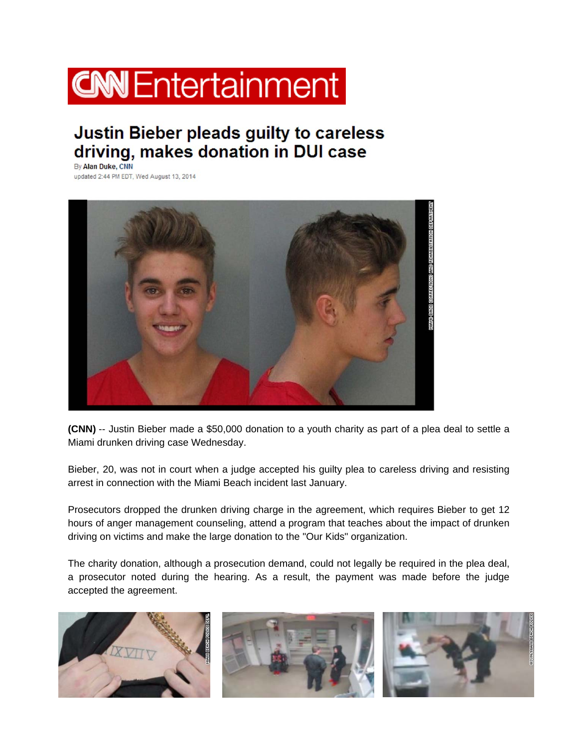

## **Justin Bieber pleads guilty to careless** driving, makes donation in DUI case

By Alan Duke, CNN updated 2:44 PM EDT, Wed August 13, 2014



**(CNN)** -- Justin Bieber made a \$50,000 donation to a youth charity as part of a plea deal to settle a Miami drunken driving case Wednesday.

Bieber, 20, was not in court when a judge accepted his guilty plea to careless driving and resisting arrest in connection with the Miami Beach incident last January.

Prosecutors dropped the drunken driving charge in the agreement, which requires Bieber to get 12 hours of anger management counseling, attend a program that teaches about the impact of drunken driving on victims and make the large donation to the "Our Kids" organization.

The charity donation, although a prosecution demand, could not legally be required in the plea deal, a prosecutor noted during the hearing. As a result, the payment was made before the judge accepted the agreement.

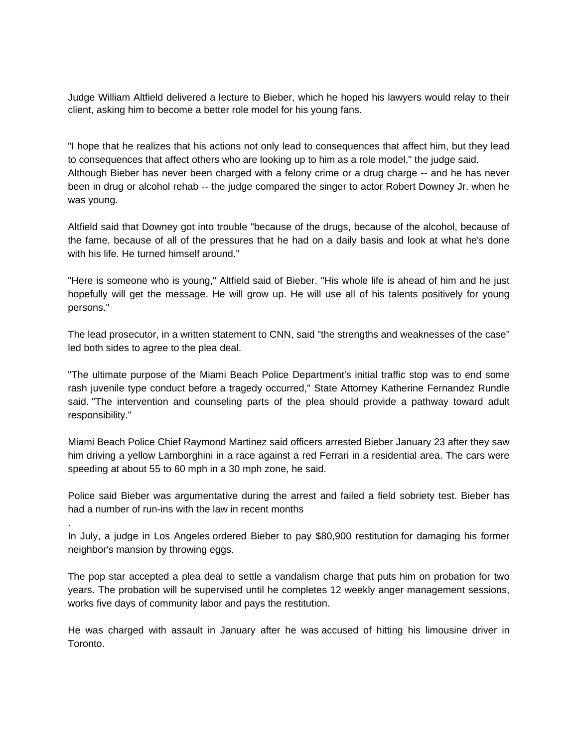Judge William Altfield delivered a lecture to Bieber, which he hoped his lawyers would relay to their client, asking him to become a better role model for his young fans.

"I hope that he realizes that his actions not only lead to consequences that affect him, but they lead to consequences that affect others who are looking up to him as a role model," the judge said. Although Bieber has never been charged with a felony crime or a drug charge -- and he has never been in drug or alcohol rehab -- the judge compared the singer to actor Robert Downey Jr. when he was young.

Altfield said that Downey got into trouble "because of the drugs, because of the alcohol, because of the fame, because of all of the pressures that he had on a daily basis and look at what he's done with his life. He turned himself around."

"Here is someone who is young," Altfield said of Bieber. "His whole life is ahead of him and he just hopefully will get the message. He will grow up. He will use all of his talents positively for young persons."

The lead prosecutor, in a written statement to CNN, said "the strengths and weaknesses of the case" led both sides to agree to the plea deal.

"The ultimate purpose of the Miami Beach Police Department's initial traffic stop was to end some rash juvenile type conduct before a tragedy occurred," State Attorney Katherine Fernandez Rundle said. "The intervention and counseling parts of the plea should provide a pathway toward adult responsibility."

Miami Beach Police Chief Raymond Martinez said officers arrested Bieber January 23 after they saw him driving a yellow Lamborghini in a race against a red Ferrari in a residential area. The cars were speeding at about 55 to 60 mph in a 30 mph zone, he said.

Police said Bieber was argumentative during the arrest and failed a field sobriety test. Bieber has had a number of run-ins with the law in recent months

.

In July, a judge in Los Angeles ordered Bieber to pay \$80,900 restitution for damaging his former neighbor's mansion by throwing eggs.

The pop star accepted a plea deal to settle a vandalism charge that puts him on probation for two years. The probation will be supervised until he completes 12 weekly anger management sessions, works five days of community labor and pays the restitution.

He was charged with assault in January after he was accused of hitting his limousine driver in Toronto.